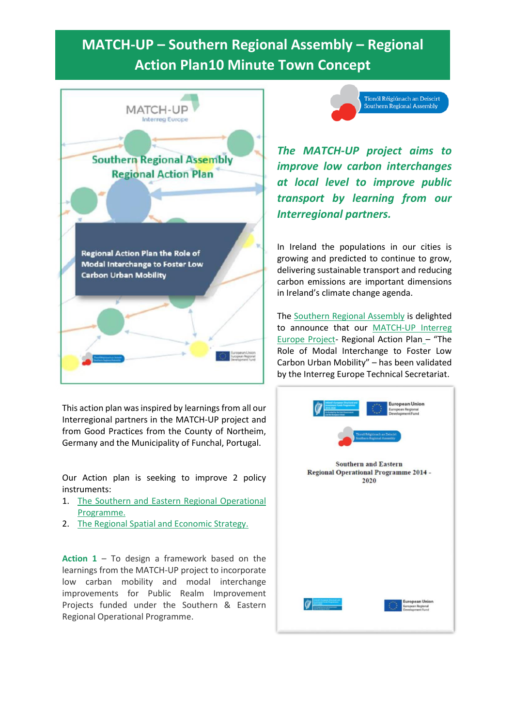## **MATCH-UP – Southern Regional Assembly – Regional Action Plan10 Minute Town Concept**

| MATCH-UP<br><b>Interreg Europe</b>                                                                         |
|------------------------------------------------------------------------------------------------------------|
|                                                                                                            |
| <b>Southern Regional Assembly</b><br><b>Regional Action Plan</b>                                           |
|                                                                                                            |
|                                                                                                            |
| <b>Regional Action Plan the Role of</b><br>Modal Interchange to Foster Low<br><b>Carbon Urban Mobility</b> |
|                                                                                                            |

This action plan was inspired by learnings from all our Interregional partners in the MATCH-UP project and from Good Practices from the County of Northeim, Germany and the Municipality of Funchal, Portugal.

Our Action plan is seeking to improve 2 policy instruments:

- 1. [The Southern and Eastern Regional Operational](http://www.southernassembly.ie/eu-programmes/southern-and-eastern-regional-operational-programme-2014-2020)  [Programme.](http://www.southernassembly.ie/eu-programmes/southern-and-eastern-regional-operational-programme-2014-2020)
- 2. [The Regional Spatial and Economic Strategy.](http://www.southernassembly.ie/regional-planning/rses)

**Action 1** – To design a framework based on the learnings from the MATCH-UP project to incorporate low carban mobility and modal interchange improvements for Public Realm Improvement Projects funded under the Southern & Eastern Regional Operational Programme.



*The MATCH-UP project aims to improve low carbon interchanges at local level to improve public transport by learning from our Interregional partners.*

In Ireland the populations in our cities is growing and predicted to continue to grow, delivering sustainable transport and reducing carbon emissions are important dimensions in Ireland's climate change agenda.

The [Southern Regional Assembly](http://www.southernassembly.ie/) is delighted to announce that our [MATCH-UP Interreg](https://www.interregeurope.eu/match-up/)  Europe Project- [Regional Action Plan](https://www.interregeurope.eu/match-up/) – "The Role of Modal Interchange to Foster Low Carbon Urban Mobility" – has been validated by the Interreg Europe Technical Secretariat.